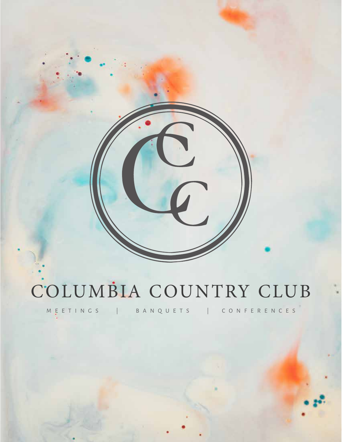# COLUMBIA COUNTRY CLUB

MEETINGS | BANQUETS | CONFERENCES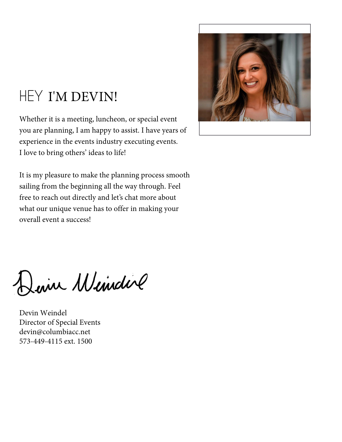### HEY I'M DEVIN!

Whether it is a meeting, luncheon, or special event you are planning, I am happy to assist. I have years of experience in the events industry executing events. I love to bring others' ideas to life!

It is my pleasure to make the planning process smooth sailing from the beginning all the way through. Feel free to reach out directly and let's chat more about what our unique venue has to offer in making your overall event a success!



Jeine Windire

Devin Weindel Director of Special Events devin@columbiacc.net 573-449-4115 ext. 1500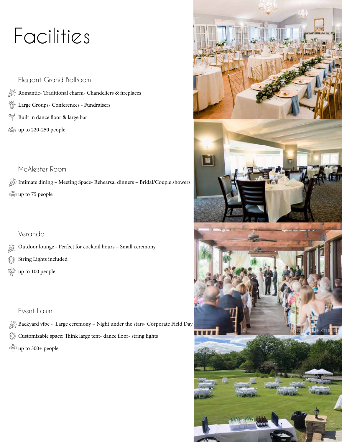# Facilities

Elegant Grand Ballroom  $\frac{\partial \mathcal{L}_{\mathcal{S}_{\alpha}}^n}{\partial \mathcal{L}_{\alpha}}$  Romantic- Traditional charm- Chandeliers & fireplaces  $\frac{1}{2}$ Large Groups- Conferences - Fundraisers  $\nabla$ Built in dance floor & large bar  $\frac{1}{2}$  up to 220-250 people

### McAlester Room

 $\hat{\mathbb{R}}_{\infty}^{\mathbb{R}^s}$  Intimate dining – Meeting Space- Rehearsal dinners – Bridal/Couple showers **up to 75 people** 

### Veranda

- $\frac{\partial \mathcal{X}^*}{\partial \mathcal{Y}^*}$  Outdoor lounge Perfect for cocktail hours Small ceremony
- String Lights included 愁
- white<br>Well<del>:</del> up to 100 people

### Event Lawn

 $\frac{\partial \chi_{\sigma}^a}{\partial S^a}$  Backyard vibe - Large ceremony – Night under the stars- Corporate Field Day  $\frac{\partial \mathbb{W}}{\partial \mathbb{W}^2}$  Customizable space: Think large tent- dance floor- string lights  $\frac{1}{2}$ up to 300+ people

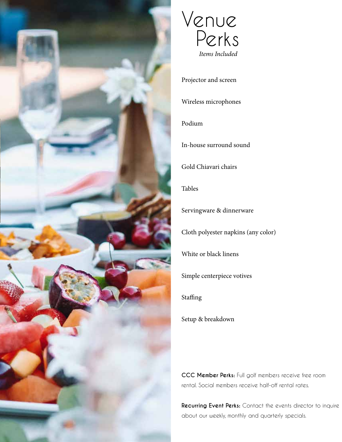



Projector and screen

Wireless microphones

### Podium

In-house surround sound

Gold Chiavari chairs

Tables

Servingware & dinnerware

Cloth polyester napkins (any color)

White or black linens

Simple centerpiece votives

Staffing

Setup & breakdown

**CCC Member Perks:** Full golf members receive free room rental. Social members receive half-off rental rates.

**Recurring Event Perks:** Contact the events director to inquire about our weekly, monthly and quarterly specials.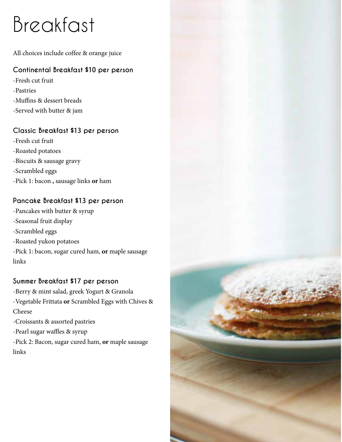# Breakfast

All choices include coffee & orange juice

### **Continental Breakfast \$10 per person**

- -Fresh cut fruit
- -Pastries
- -Muffins & dessert breads
- -Served with butter & jam

### **Classic Breakfast \$13 per person**

- -Fresh cut fruit -Roasted potatoes
- -Biscuits & sausage gravy
- -Scrambled eggs
- -Pick 1: bacon **,** sausage links **or** ham

### **Pancake Breakfast \$13 per person**

-Pancakes with butter & syrup -Seasonal fruit display -Scrambled eggs -Roasted yukon potatoes -Pick 1: bacon, sugar cured ham, **or** maple sausage links

### **Summer Breakfast \$17 per person**

- -Berry & mint salad, greek Yogurt & Granola -Vegetable Frittata **or** Scrambled Eggs with Chives & Cheese -Croissants & assorted pastries
- -Pearl sugar waffles & syrup
- -Pick 2: Bacon, sugar cured ham, **or** maple sausage links

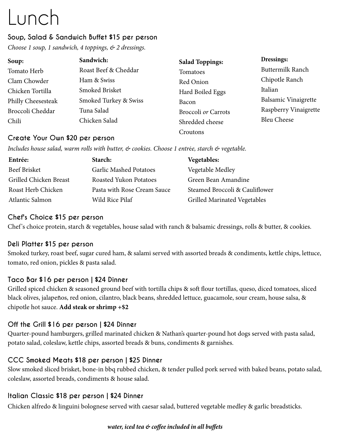# Lunch

### **Soup, Salad & Sandwich Buffet \$15 per person**

*Choose 1 soup, 1 sandwich, 4 toppings, & 2 dressings.*

| Soup:              | Sandwich:             | <b>Salad Toppings:</b> | Dressings:              |
|--------------------|-----------------------|------------------------|-------------------------|
| Tomato Herb        | Roast Beef & Cheddar  | Tomatoes               | <b>Buttermilk Ranch</b> |
| Clam Chowder       | Ham & Swiss           | Red Onion              | Chipotle Ranch          |
| Chicken Tortilla   | Smoked Brisket        | Hard Boiled Eggs       | Italian                 |
| Philly Cheesesteak | Smoked Turkey & Swiss | Bacon                  | Balsamic Vinaigrette    |
| Broccoli Cheddar   | Tuna Salad            | Broccoli or Carrots    | Raspberry Vinaigrette   |
| Chili              | Chicken Salad         | Shredded cheese        | <b>Bleu Cheese</b>      |
|                    |                       | Croutons               |                         |

### **Create Your Own \$20 per person**

*Includes house salad, warm rolls with butter, & cookies. Choose 1 entr*é*e, starch & vegetable.*

| Entrée:                       | Starch:                       | <b>Vegetables:</b>                  |
|-------------------------------|-------------------------------|-------------------------------------|
| <b>Beef Brisket</b>           | <b>Garlic Mashed Potatoes</b> | Vegetable Medley                    |
| <b>Grilled Chicken Breast</b> | Roasted Yukon Potatoes        | Green Bean Amandine                 |
| Roast Herb Chicken            | Pasta with Rose Cream Sauce   | Steamed Broccoli & Cauliflower      |
| Atlantic Salmon               | Wild Rice Pilaf               | <b>Grilled Marinated Vegetables</b> |

### **Chef's Choice \$15 per person**

Chef's choice protein, starch & vegetables, house salad with ranch & balsamic dressings, rolls & butter, & cookies.

### **Deli Platter \$15 per person**

Smoked turkey, roast beef, sugar cured ham, & salami served with assorted breads & condiments, kettle chips, lettuce, tomato, red onion, pickles & pasta salad.

### **Taco Bar \$16 per person | \$24 Dinner**

Grilled spiced chicken & seasoned ground beef with tortilla chips & soft flour tortillas, queso, diced tomatoes, sliced black olives, jalapeños, red onion, cilantro, black beans, shredded lettuce, guacamole, sour cream, house salsa, & chipotle hot sauce. **Add steak or shrimp +\$2**

### **Off the Grill \$16 per person | \$24 Dinner**

Quarter-pound hamburgers, grilled marinated chicken & Nathan's quarter-pound hot dogs served with pasta salad, potato salad, coleslaw, kettle chips, assorted breads & buns, condiments & garnishes.

### **CCC Smoked Meats \$18 per person | \$25 Dinner**

Slow smoked sliced brisket, bone-in bbq rubbed chicken, & tender pulled pork served with baked beans, potato salad, coleslaw, assorted breads, condiments & house salad.

### **Italian Classic \$18 per person | \$24 Dinner**

Chicken alfredo & linguini bolognese served with caesar salad, buttered vegetable medley & garlic breadsticks.

### *water, iced tea & coffee included in all buffets*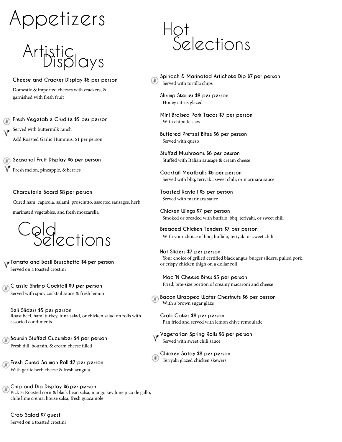# ppetizers

# .<br>Artistic<br>Displays

**Cheese and Cracker Display \$6 per person**

Domestic & imported cheeses with crackers, & garnished with fresh fruit

**Fresh Vegetable Crudite \$5 per person**

Served with buttermilk ranch Add Roasted Garlic Hummus: \$1 per person

**Seasonal Fruit Display \$6 per person**

Fresh melon, pineapple, & berries

**Charcuterie Board \$8 per person**

Cured ham, capicola, salami, prosciutto, assorted sausages, herb marinated vegetables, and fresh mozzarella



**Tomato and Basil Bruschetta \$4 per person** Served on a toasted crostini

**Classic Shrimp Cocktail \$9 per person** Served with spicy cocktail sauce & fresh lemon

**Deli Sliders \$5 per person** Roast beef, ham, turkey, tuna salad, or chicken salad on rolls with assorted condiments

**Boursin Stuffed Cucumber \$4 per person** Fresh dill, boursin, & cream cheese filled

**Fresh Cured Salmon Roll \$7 per person** With garlic herb cheese & fresh arugula

**Chip and Dip Display \$6 per person** Pick 3: Roasted corn & black bean salsa, mango key lime pico de gallo, chile lime crema, house salsa, fresh guacamole

**Crab Salad \$7 guest** Served on a toasted crostini

### Hot Selections

**Spinach & Marinated Artichoke Dip \$7 per person** Served with tortilla chips

**Shrimp Skewer \$8 per person** Honey citrus glazed

**Mini Braised Pork Tacos \$7 per person** With chipotle slaw

**Buttered Pretzel Bites \$6 per person** Served with queso

**Stuffed Mushrooms \$6 per pesron** Stuffed with Italian sausage & cream cheese

**Cocktail Meatballs \$6 per person** Served with bbq, teriyaki, sweet chili, or marinara sauce

**Toasted Ravioli \$5 per person** Served with marinara sauce

**Chicken Wings \$7 per person** Smoked or breaded with buffalo, bbq, teriyaki, or sweet chili

**Breaded Chicken Tenders \$7 per person** With your choice of bbq, buffalo, teriyaki or sweet chili

**Hot Sliders \$7 per person** Your choice of grilled certified black angus burger sliders, pulled pork, or crispy chicken thigh on a dollar roll

**Mac 'N Cheese Bites \$5 per person** Fried, bite-size portion of creamy macaroni and cheese

 **Bacon Wrapped Water Chestnuts \$6 per person** With a brown sugar glaze

**Crab Cakes \$8 per person**  Pan fried and served with lemon chive remoulade

**Vegetarian Spring Rolls \$6 per person** Served with sweet chili sauce

**Chicken Satay \$8 per person** Teriyaki glazed chicken skewers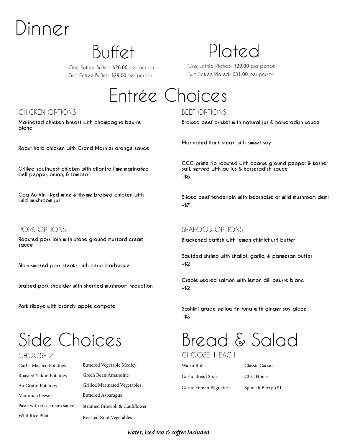# Dinner

One Entrée Buffet- \$**26.00** per person Two Entrée Buffet- \$**29.00** per person

### Buffet Plated

One Entrée Plated- \$**29.00** per person Two Entrée Plated- \$**31.00** per person

### Entrée Choices

### CHICKEN OPTIONS BEEF OPTIONS

**Marinated chicken breast with champagne beurre blanc**

**Roast herb chicken with Grand Marnier orange sauce**

**Grilled southwest chicken with cilantro lime marinated bell pepper, onion, & tomato**

**Coq Au Vin- Red wine & thyme braised chicken with wild mushroom jus**

### PORK OPTIONS

**Roasted pork loin with stone ground mustard cream sauce**

**Slow smoked pork steaks with citrus barbeque**

**Braised pork shoulder with sherried mushroom reduction**

**Pork ribeye with brandy apple compote**

### Side Choices CHOOSE 2

Garlic Mashed Potatoes Roasted Yukon Potatoes Au Gratin Potatoes Mac and cheese Pasta with rose cream sauce Wild Rice Pilaf

Buttered Vegetable Medley Green Bean Amandine Grilled Marinated Vegetables Buttered Asparagus Steamed Broccoli & Cauliflower Roasted Root Vegetables

**Braised beef brisket with natural jus & horseradish sauce**

**Marinated flank steak with sweet soy**

**CCC prime rib roasted with coarse ground pepper & kosher salt, served with au jus & horseradish sauce +\$6**

**Sliced beef tenderloin with bearnaise or wild mushroom demi +\$7**

### SEAFOOD OPTIONS

**Blackened catfish with lemon chimichurri butter**

**Sautéed shrimp with shallot, garlic, & parmesan butter +\$2**

**Creole seared salmon with lemon dill beurre blanc +\$2**

**Sashimi grade yellow fin tuna with ginger soy glaze +\$3**

Bread & Salad

CHOOSE 1 EACH

Warm Rolls Garlic Bread Stick Garlic French Baguette Classic Caesar

CCC House

Spinach Berry +\$1

*water, iced tea & coffee included*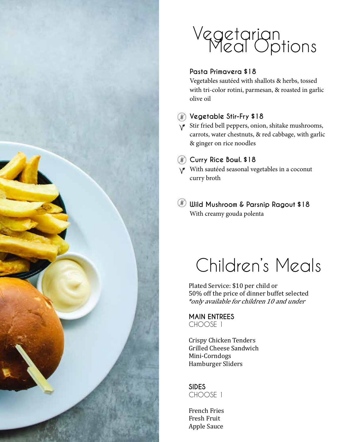

### Vegetarian Meal Options

### **Pasta Primavera \$18**

Vegetables sautéed with shallots & herbs, tossed with tri-color rotini, parmesan, & roasted in garlic olive oil

### **Vegetable Stir-Fry \$18**

- $\sqrt{\ }$  Stir fried bell peppers, onion, shitake mushrooms, carrots, water chestnuts, & red cabbage, with garlic & ginger on rice noodles
- **Curry Rice Bowl. \$18**

With sautéed seasonal vegetables in a coconut curry broth

**Wild Mushroom & Parsnip Ragout \$18** With creamy gouda polenta

# Children's Meals

Plated Service: \$10 per child or 50% off the price of dinner buffet selected \*only available for children 10 and under

**MAIN ENTREES** CHOOSE 1

Crispy Chicken Tenders Grilled Cheese Sandwich Mini-Corndogs Hamburger Sliders

**SIDES**  CHOOSE 1

French Fries Fresh Fruit Apple Sauce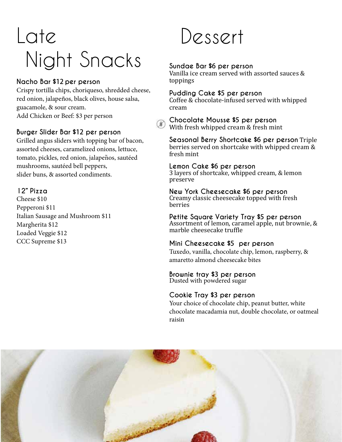# Late Night Snacks

### **Nacho Bar \$12 per person**

Crispy tortilla chips, choriqueso, shredded cheese, red onion, jalapeños, black olives, house salsa, guacamole, & sour cream. Add Chicken or Beef: \$3 per person

### **Burger Slider Bar \$12 per person**

Grilled angus sliders with topping bar of bacon, assorted cheeses, caramelized onions, lettuce, tomato, pickles, red onion, jalapeños, sautéed mushrooms, sautéed bell peppers, slider buns, & assorted condiments.

### **12" Pizza**

Cheese \$10 Pepperoni \$11 Italian Sausage and Mushroom \$11 Margherita \$12 Loaded Veggie \$12 CCC Supreme \$13

## Dessert

### **Sundae Bar \$6 per person**

Vanilla ice cream served with assorted sauces & toppings

#### **Pudding Cake \$5 per person**

Coffee & chocolate-infused served with whipped cream

**Chocolate Mousse \$5 per person** With fresh whipped cream & fresh mint

**Seasonal Berry Shortcake \$6 per person** Triple berries served on shortcake with whipped cream & fresh mint

#### **Lemon Cake \$6 per person**

3 layers of shortcake, whipped cream, & lemon preserve

### **New York Cheesecake \$6 per person**

Creamy classic cheesecake topped with fresh berries

**Petite Square Variety Tray \$5 per person** Assortment of lemon, caramel apple, nut brownie, & marble cheesecake truffle

### **Mini Cheesecake \$5 per person**

Tuxedo, vanilla, chocolate chip, lemon, raspberry, & amaretto almond cheesecake bites

#### **Brownie tray \$3 per person**

Dusted with powdered sugar

#### **Cookie Tray \$3 per person**

Your choice of chocolate chip, peanut butter, white chocolate macadamia nut, double chocolate, or oatmeal raisin

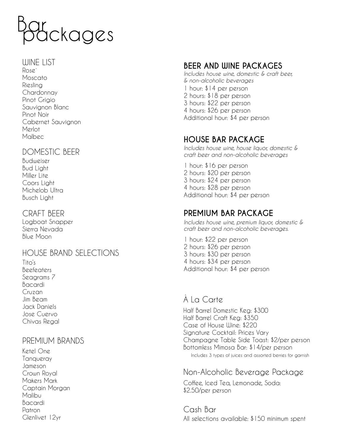

#### WINE LIST

Rose` Moscato Riesling **Chardonnay** Pinot Grigio Sauvignon Blanc Pinot Noir Cabernet Sauvignon Merlot Malbec

### DOMESTIC BEER

Budweiser Bud Light Miller Lite Coors Light Michelob Ultra Busch Light

### CRAFT BEER

Logboat Snapper Sierra Nevada Blue Moon

### HOUSE BRAND SELECTIONS

Tito's Beefeaters Seagrams 7 Bacardi Cruzan Jim Beam Jack Daniels Jose Cuervo Chivas Regal

### PREMIUM BRANDS

Ketel One Tanqueray Jameson Crown Royal Makers Mark Captain Morgan Malibu Bacardi Patron Glenlivet 12yr

### **BEER AND WINE PACKAGES**

*Includes house wine, domestic & craft beer, & non-alcoholic beverages* 1 hour: \$14 per person 2 hours: \$18 per person 3 hours: \$22 per person 4 hours: \$26 per person

Additional hour: \$4 per person

### **HOUSE BAR PACKAGE**

*Includes house wine, house liquor, domestic & craft beer and non-alcoholic beverages*

1 hour: \$16 per person 2 hours: \$20 per person 3 hours: \$24 per person 4 hours: \$28 per person Additional hour: \$4 per person

### **PREMIUM BAR PACKAGE**

*Includes house wine, premium liquor, domestic & craft beer and non-alcoholic beverages.* 

1 hour: \$22 per person 2 hours: \$26 per person 3 hours: \$30 per person 4 hours: \$34 per person Additional hour: \$4 per person

### À La Carte

Half Barrel Domestic Keg: \$300 Half Barrel Craft Keg: \$350 Case of House Wine: \$220 Signature Cocktail: Prices Vary Champagne Table Side Toast: \$2/per person Bottomless Mimosa Bar: \$14/per person Includes 3 types of juices and assorted berries for garnish

### Non-Alcoholic Beverage Package

Coffee, Iced Tea, Lemonade, Soda: \$2.50/per person

Cash Bar All selections available: \$150 minimum spent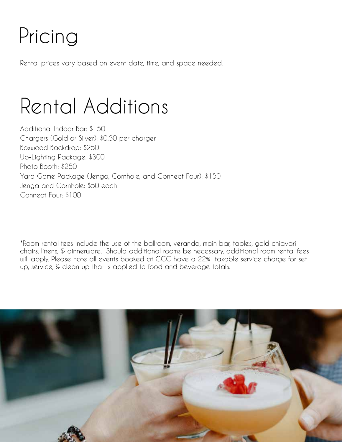# Pricing

Rental prices vary based on event date, time, and space needed.

Rental Additions

Additional Indoor Bar: \$150 Chargers (Gold or Silver): \$0.50 per charger Boxwood Backdrop: \$250 Up-Lighting Package: \$300 Photo Booth: \$250 Yard Game Package (Jenga, Cornhole, and Connect Four): \$150 Jenga and Cornhole: \$50 each Connect Four: \$100

\*Room rental fees include the use of the ballroom, veranda, main bar, tables, gold chiavari chairs, linens, & dinnerware. Should additional rooms be necessary, additional room rental fees will apply. Please note all events booked at CCC have a 22% taxable service charge for set up, service, & clean up that is applied to food and beverage totals.

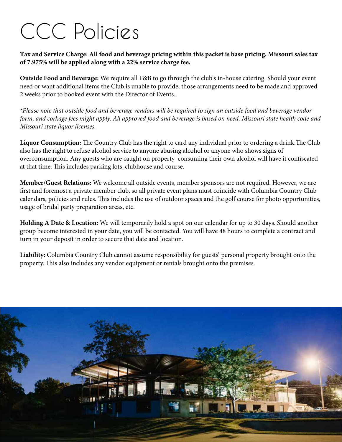# CCC Policies

**Tax and Service Charge: All food and beverage pricing within this packet is base pricing. Missouri sales tax of 7.975% will be applied along with a 22% service charge fee.** 

**Outside Food and Beverage:** We require all F&B to go through the club's in-house catering. Should your event need or want additional items the Club is unable to provide, those arrangements need to be made and approved 2 weeks prior to booked event with the Director of Events.

*\*Please note that outside food and beverage vendors will be required to sign an outside food and beverage vendor form, and corkage fees might apply. All approved food and beverage is based on need, Missouri state health code and Missouri state liquor licenses.*

**Liquor Consumption:** The Country Club has the right to card any individual prior to ordering a drink.The Club also has the right to refuse alcohol service to anyone abusing alcohol or anyone who shows signs of overconsumption. Any guests who are caught on property consuming their own alcohol will have it confiscated at that time. This includes parking lots, clubhouse and course.

**Member/Guest Relations:** We welcome all outside events, member sponsors are not required. However, we are first and foremost a private member club, so all private event plans must coincide with Columbia Country Club calendars, policies and rules. This includes the use of outdoor spaces and the golf course for photo opportunities, usage of bridal party preparation areas, etc.

**Holding A Date & Location:** We will temporarily hold a spot on our calendar for up to 30 days. Should another group become interested in your date, you will be contacted. You will have 48 hours to complete a contract and turn in your deposit in order to secure that date and location.

**Liability:** Columbia Country Club cannot assume responsibility for guests' personal property brought onto the property. This also includes any vendor equipment or rentals brought onto the premises.

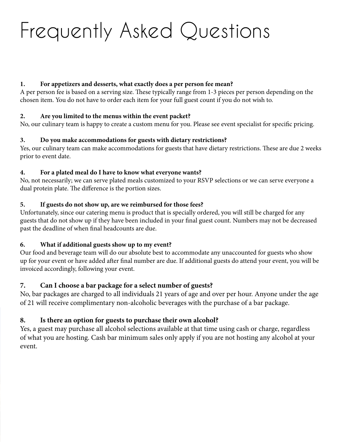# Frequently Asked Questions

### **1. For appetizers and desserts, what exactly does a per person fee mean?**

A per person fee is based on a serving size. These typically range from 1-3 pieces per person depending on the chosen item. You do not have to order each item for your full guest count if you do not wish to.

### **2. Are you limited to the menus within the event packet?**

No, our culinary team is happy to create a custom menu for you. Please see event specialist for specific pricing.

### **3. Do you make accommodations for guests with dietary restrictions?**

Yes, our culinary team can make accommodations for guests that have dietary restrictions. These are due 2 weeks prior to event date.

#### **4. For a plated meal do I have to know what everyone wants?**

No, not necessarily; we can serve plated meals customized to your RSVP selections or we can serve everyone a dual protein plate. The difference is the portion sizes.

### **5. If guests do not show up, are we reimbursed for those fees?**

Unfortunately, since our catering menu is product that is specially ordered, you will still be charged for any guests that do not show up if they have been included in your final guest count. Numbers may not be decreased past the deadline of when final headcounts are due.

### **6. What if additional guests show up to my event?**

Our food and beverage team will do our absolute best to accommodate any unaccounted for guests who show up for your event or have added after final number are due. If additional guests do attend your event, you will be invoiced accordingly, following your event.

### **7. Can I choose a bar package for a select number of guests?**

No, bar packages are charged to all individuals 21 years of age and over per hour. Anyone under the age of 21 will receive complimentary non-alcoholic beverages with the purchase of a bar package.

### **8. Is there an option for guests to purchase their own alcohol?**

Yes, a guest may purchase all alcohol selections available at that time using cash or charge, regardless of what you are hosting. Cash bar minimum sales only apply if you are not hosting any alcohol at your event.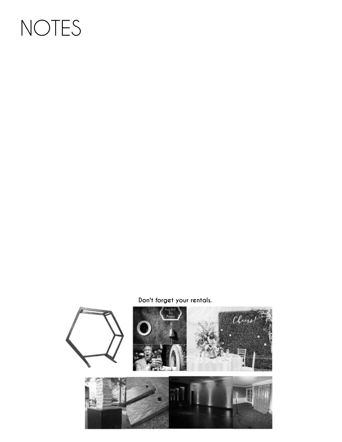# NOTES

### **Don't forget your rentals.**

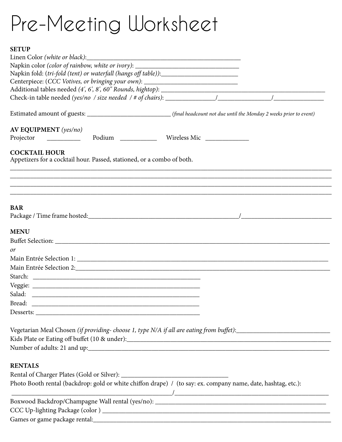# Pre-Meeting Worksheet

### **SETUP**

| 9 DI UP                                                                                                                                                                                                                              |  |  |
|--------------------------------------------------------------------------------------------------------------------------------------------------------------------------------------------------------------------------------------|--|--|
| Napkin color (color of rainbow, white or ivory): _______________________________                                                                                                                                                     |  |  |
|                                                                                                                                                                                                                                      |  |  |
| Centerpiece: (CCC Votives, or bringing your own): ______________________________                                                                                                                                                     |  |  |
|                                                                                                                                                                                                                                      |  |  |
|                                                                                                                                                                                                                                      |  |  |
|                                                                                                                                                                                                                                      |  |  |
|                                                                                                                                                                                                                                      |  |  |
| AV EQUIPMENT (yes/no)                                                                                                                                                                                                                |  |  |
| Projector _____________ Podium _____________ Wireless Mic _____________                                                                                                                                                              |  |  |
| <b>COCKTAIL HOUR</b><br>Appetizers for a cocktail hour. Passed, stationed, or a combo of both.                                                                                                                                       |  |  |
|                                                                                                                                                                                                                                      |  |  |
| <b>BAR</b>                                                                                                                                                                                                                           |  |  |
|                                                                                                                                                                                                                                      |  |  |
| <b>MENU</b>                                                                                                                                                                                                                          |  |  |
|                                                                                                                                                                                                                                      |  |  |
| or                                                                                                                                                                                                                                   |  |  |
|                                                                                                                                                                                                                                      |  |  |
|                                                                                                                                                                                                                                      |  |  |
|                                                                                                                                                                                                                                      |  |  |
|                                                                                                                                                                                                                                      |  |  |
| Salad: <u>Denomination of the sales of the sales of the sales of the sales of the sales of the sales of the sales of the sales of the sales of the sales of the sales of the sales of the sales of the sales of the sales of the</u> |  |  |
| Bread: experience and the set of the set of the set of the set of the set of the set of the set of the set of the set of the set of the set of the set of the set of the set of the set of the set of the set of the set of th       |  |  |
|                                                                                                                                                                                                                                      |  |  |
| Kids Plate or Eating off buffet (10 & under):                                                                                                                                                                                        |  |  |
|                                                                                                                                                                                                                                      |  |  |
| <b>RENTALS</b>                                                                                                                                                                                                                       |  |  |
|                                                                                                                                                                                                                                      |  |  |
| Photo Booth rental (backdrop: gold or white chiffon drape) / (to say: ex. company name, date, hashtag, etc.):                                                                                                                        |  |  |
|                                                                                                                                                                                                                                      |  |  |
|                                                                                                                                                                                                                                      |  |  |
|                                                                                                                                                                                                                                      |  |  |
|                                                                                                                                                                                                                                      |  |  |